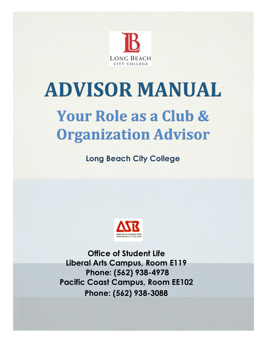

# **ADVISOR MANUAL** Your Role as a Club & **Organization Advisor**

**Long Beach City College**



**Office of Student Life Liberal Arts Campus, Room E119 Phone: (562) 938-4978 Pacific Coast Campus, Room EE102 Phone: (562) 938-3088**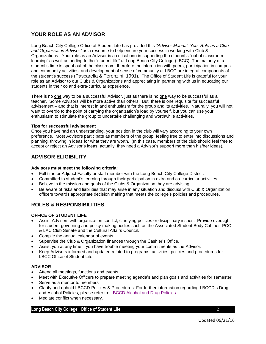# **YOUR ROLE AS AN ADVISOR**

Long Beach City College Office of Student Life has provided this *"Advisor Manual: Your Role as a Club and Organization Advisor"* as a resource to help ensure your success in working with Club & Organizations. Your role as an Advisor is a critical one in supporting the student's "out of classroom learning" as well as adding to the "student life" at Long Beach City College (LBCC). The majority of a student's time is spent out of the classroom, therefore the interaction with peers, participation in campus and community activities, and development of sense of community at LBCC are integral components of the student's success (Pascarella & Terenzini, 1991). The Office of Student Life is grateful for your role as an Advisor to our Clubs & Organizations and appreciating in partnering with us in educating our students in their co and extra-curricular experience.

There is no one way to be a successful Advisor, just as there is no one way to be successful as a teacher. Some Advisors will be more active than others. But, there is one requisite for successful advisement – and that is interest in and enthusiasm for the group and its activities. Naturally, you will not want to overdo to the point of carrying the organization's load by yourself, but you can use your enthusiasm to stimulate the group to undertake challenging and worthwhile activities.

#### **Tips for successful advisement**

Once you have had an understanding, your position in the club will vary according to your own preference. Most Advisors participate as members of the group, feeling free to enter into discussions and planning, throwing in ideas for what they are worth. (In this case, members of the club should feel free to accept or reject an Advisor's ideas; actually, they need a Advisor's support more than his/her ideas).

# **ADVISOR ELIGIBILITY**

#### **Advisors must meet the following criteria:**

- Full time or Adjunct Faculty or staff member with the Long Beach City College District.
- Committed to student's learning through their participation in extra and co-curricular activities.
- Believe in the mission and goals of the Clubs & Organization they are advising.
- Be aware of risks and liabilities that may arise in any situation and discuss with Club & Organization officers towards appropriate decision making that meets the college's policies and procedures.

# **ROLES & RESPONSIBILITIES**

#### **OFFICE OF STUDENT LIFE**

- Assist Advisors with organization conflict, clarifying policies or disciplinary issues. Provide oversight for student-governing and policy-making bodies such as the Associated Student Body Cabinet, PCC & LAC Club Senate and the Cultural Affairs Council.
- Compile the annual calendar of events.
- Supervise the Club & Organization finances through the Cashier's Office.
- Assist you at any time if you have trouble meeting your commitments as the Advisor.
- Keep Advisors informed and updated related to programs, activities, policies and procedures for LBCC Office of Student Life.

#### **ADVISOR**

- Attend all meetings, functions and events
- Meet with Executive Officers to prepare meeting agenda's and plan goals and activities for semester.
- Serve as a mentor to members
- Clarify and uphold LBCCD Policies & Procedures. For further information regarding LBCCD's Drug and Alcohol Policies, please refer to: **LBCCD Alcohol and Drug Policies**
- Mediate conflict when necessary.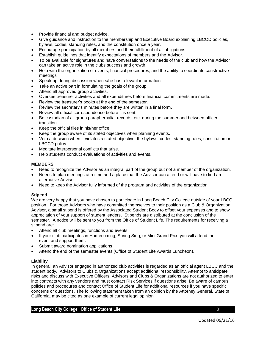- Provide financial and budget advice.
- Give guidance and instruction to the membership and Executive Board explaining LBCCD policies, bylaws, codes, standing rules, and the constitution once a year.
- Encourage participation by all members and their fulfillment of all obligations.
- Establish guidelines that identify expectations of members and the Advisor.
- To be available for signatures and have conversations to the needs of the club and how the Advisor can take an active role in the clubs success and growth.
- Help with the organization of events, financial procedures, and the ability to coordinate constructive meetings
- Speak up during discussion when s/he has relevant information.
- Take an active part in formulating the goals of the group.
- Attend all approved group activities.
- Oversee treasurer activities and all expenditures before financial commitments are made.
- Review the treasurer's books at the end of the semester.
- Review the secretary's minutes before they are written in a final form.
- Review all official correspondence before it is sent.
- Be custodian of all group paraphernalia, records, etc. during the summer and between officer transition.
- Keep the official files in his/her office.
- Keep the group aware of its stated objectives when planning events.
- Veto a decision when it violates a stated objective, the bylaws, codes, standing rules, constitution or LBCCD policy.
- Meditate interpersonal conflicts that arise.
- Help students conduct evaluations of activities and events.

#### **MEMBERS**

- Need to recognize the Advisor as an integral part of the group but not a member of the organization.
- Needs to plan meetings at a time and a place that the Advisor can attend or will have to find an alternative Advisor.
- Need to keep the Advisor fully informed of the program and activities of the organization.

#### **Stipend**

We are very happy that you have chosen to participate in Long Beach City College outside of your LBCC position. For those Advisors who have committed themselves to their position as a Club & Organization Advisor, a small stipend is offered by the Associated Student Body to offset your expenses and to show appreciation of your support of student leaders. Stipends are distributed at the conclusion of the semester. A notice will be sent to you from the Office of Student Life. The requirements for receiving a stipend are:

- Attend all club meetings, functions and events
- If your club participates in Homecoming, Spring Sing, or Mini Grand Prix, you will attend the event and support them.
- Submit award nomination applications
- Attend the end of the semester events (Office of Student Life Awards Luncheon).

#### **Liability**

In general, an Advisor engaged in authorized club activities is regarded as an official agent LBCC and the student body. Advisors to Clubs & Organizations accept additional responsibility. Attempt to anticipate risks and discuss with Executive Officers. Advisors and Clubs & Organizations are not authorized to enter into contracts with any vendors and must contact Risk Services if questions arise. Be aware of campus policies and procedures and contact Office of Student Life for additional resources if you have specific concerns or questions. The following statement taken from an opinion by the Attorney General, State of California, may be cited as one example of current legal opinion: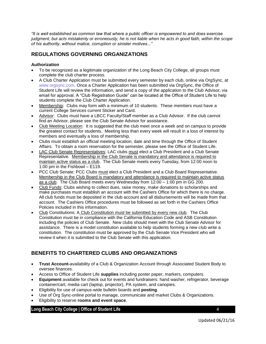*"It is well established as common law that where a public officer is empowered to and does exercise judgment, but acts mistakenly or erroneously, he is not liable when he acts in good faith, within the scope of his authority, without malice, corruption or sinister motives..."*

# **REGULATIONS GOVERNING ORGANIZATIONS**

## **Authorization**

- To be recognized as a legitimate organization of the Long Beach City College, all groups must complete the club charter process.
- A Club Charter Application must be submitted every semester by each club, online via OrgSync, at [www.orgsync.com.](http://www.orgsync.com/) Once a Charter Application has been submitted via OrgSync, the Office of Student Life will review the information, and send a copy of the application to the Club Advisor, via email for approval. A "Club Registration Guide" can be located at the Office of Student Life to help students complete the Club Charter Application.
- Membership: Clubs may form with a minimum of 10 students. These members must have a current College Services current Sticker and Card.
- Advisor: Clubs must have a LBCC Faculty/Staff member as a Club Advisor. If the club cannot find an Advisor, please see the Club Senate Advisor for assistance.
- Club Meeting Location: It is suggested that the club meet once a week and on campus to provide the greatest contact for students. Meeting less than every week will result in a loss of interest by members and eventually a loss of membership.
- Clubs must establish an official meeting location, date and time through the Office of Student Affairs. To obtain a room reservation for the semester, please see the Office of Student Life.
- LAC Club Senate Representatives: LAC clubs must elect a Club President and a Club Senate Representative. Membership in the Club Senate is mandatory and attendance is required to maintain active status as a club. The Club Senate meets every Tuesday, from 12:00 noon to 1:00 pm in the Fishbowl – E119.
- PCC Club Senate: PCC Clubs must elect a Club President and a Club Board Representative. Membership in the Club Board is mandatory and attendance is required to maintain active status as a club. The Club Board meets every Wednesday from 12:00 – 1:00 pm in GG 200.
- Club Funds: Clubs wishing to collect dues, raise money, make donations to scholarships and make purchases must establish an account with the Cashiers Office for which there is no charge. All club funds must be deposited in the club account and all disbursements will be made from that account. The Cashiers Office procedures must be followed as set forth in the Cashiers Office Policies included in this information.
- Club Constitutions: A Club Constitution must be submitted by every new club. The Club Constitution must be in compliance with the California Education Code and ASB Constitution including the policies of Club Senate. New clubs should meet with the Club Senate Advisor for assistance. There is a model constitution available to help students forming a new club write a constitution. The constitution must be approved by the Club Senate Vice President who will review it when it is submitted to the Club Senate with this application.

# **BENEFITS TO CHARTERED CLUBS AND ORGANIZATIONS**

- **Trust Account-**availability of a Club & Organization Account through Associated Student Body to oversee finances.
- Access to Office of Student Life **supplies** including poster paper, markers, computers.
- **Equipment** available for check out for events and fundraisers: hand washer, refrigerator, beverage container/cart, media cart (laptop, projector), PA system, and canopies.
- Eligibility for use of campus-wide bulletin boards and **posting**.
- Use of Org Sync-online portal to manage, communicate and market Clubs & Organizations.
- Eligibility to reserve **rooms and event space**.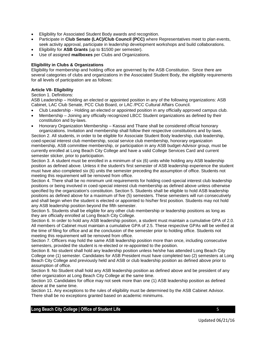- Eligibility for Associated Student Body awards and recognition.
- Participate in **Club Senate (LAC)/Club Council (PCC)** where Representatives meet to plan events, seek activity approval, participate in leadership development workshops and build collaborations.
- Eligibility for **ASB Grants** (up to \$1500 per semester).
- Use of assigned **mailboxes** per Clubs and Organizations.

#### **Eligibility in Clubs & Organizations**

Eligibility for membership and holding office are governed by the ASB Constitution. Since there are several categories of clubs and organizations in the Associated Student Body, the eligibility requirements for all levels of participation are as follows:

#### **Article VII- Eligibility**

Section 1. Definitions:

ASB Leadership – Holding an elected or appointed position in any of the following organizations: ASB Cabinet, LAC Club Senate, PCC Club Board, or LAC /PCC Cultural Affairs Council.

- Club Leadership Holding an elected or appointed position in any officially approved campus club.
- Membership Joining any officially recognized LBCC Student organizations as defined by their constitution and by-laws.
- Honorary Organization Membership Kassai and Thane shall be considered official honorary organizations. Invitation and membership shall follow their respective constitutions and by-laws.

Section 2. All students, in order to be eligible for Associate Student Body leadership, club leadership, coed-special interest club membership, social service club membership, honorary organization membership, ASB committee membership, or participation in any ASB budget-Advisor group, must be currently enrolled at Long Beach City College and have a valid College Services Card and current semester sticker, prior to participation.

Section 3. A student must be enrolled in a minimum of six (6) units while holding any ASB leadership position as defined above. Unless it the student's first semester of ASB leadership experience the student must have also completed six (6) units the semester preceding the assumption of office. Students not meeting this requirement will be removed from office.

Section 4. There shall be no minimum unit requirements for holding coed-special interest club leadership positions or being involved in coed-special interest club membership as defined above unless otherwise specified by the organization's constitution. Section 5. Students shall be eligible to hold ASB leadership positions as defined above for a maximum of five (5) semesters. These semesters will run consecutively and shall begin when the student is elected or appointed to his/her first position. Students may not hold any ASB leadership position beyond the fifth semester.

Section 5. Students shall be eligible for any other club membership or leadership positions as long as they are officially enrolled at Long Beach City College.

Section 6. In order to hold any ASB leadership position, a student must maintain a cumulative GPA of 2.0. All members of Cabinet must maintain a cumulative GPA of 2.5. These respective GPAs will be verified at the time of filing for office and at the conclusion of the semester prior to holding office. Students not meeting this requirement will be removed from office.

Section 7. Officers may hold the same ASB leadership position more than once, including consecutive semesters, provided the student is re-elected or re-appointed to the position.

Section 8. No student shall hold any leadership position unless he/she has attended Long Beach City College one (1) semester. Candidates for ASB President must have completed two (2) semesters at Long Beach City College and previously held and ASB or club leadership position as defined above prior to assumption of office.

Section 9. No Student shall hold any ASB leadership position as defined above and be president of any other organization at Long Beach City College at the same time.

Section 10. Candidates for office may not seek more than one (1) ASB leadership position as defined above at the same time.

Section 11. Any exceptions to the rules of eligibility must be determined by the ASB Cabinet Advisor. There shall be no exceptions granted based on academic minimums.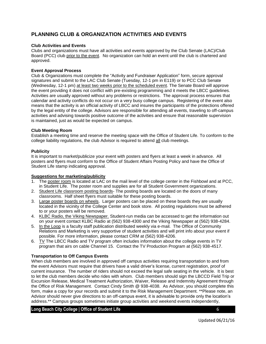# **PLANNING CLUB & ORGANIZATION ACTIVITIES AND EVENTS**

#### **Club Activities and Events**

Clubs and organizations must have all activities and events approved by the Club Senate (LAC)/Club Board (PCC) club prior to the event. No organization can hold an event until the club is chartered and approved.

#### **Event Approval Process**

Club & Organizations must complete the "Activity and Fundraiser Application" form, secure approval signatures and submit to the LAC Club Senate (Tuesday, 12-1 pm in E119) or to PCC Club Senate (Wednesday, 12-1 pm) at least two weeks prior to the scheduled event. The Senate Board will approve the event providing it does not conflict with pre-existing programming and it meets the LBCC guidelines. Activities are usually approved without any problems or restrictions. The approval process ensures that calendar and activity conflicts do not occur on a very busy college campus. Registering of the event also means that the activity is an official activity of LBCC and insures the participants of the protections offered by the legal entity of the college. Advisors are responsible for attending all events, traveling to off-campus activities and advising towards positive outcome of the activities and ensure that reasonable supervision is maintained, just as would be expected on campus.

#### **Club Meeting Room**

Establish a meeting time and reserve the meeting space with the Office of Student Life. To conform to the college liability regulations, the club Advisor is required to attend all club meetings.

#### **Publicity**

It is important to market/publicize your event with posters and flyers at least a week in advance. All posters and flyers must conform to the Office of Student Affairs Posting Policy and have the Office of Student Life stamp indicating approval.

## **Suggestions for marketing/publicity**

- 1. The poster room is located at LAC on the mail level of the college center in the Fishbowl and at PCC, in Student Life. The poster room and supplies are for all Student Government organizations.
- 2. Student Life classroom posting boards- The posting boards are located on the doors of many classrooms. Half sheet flyers must suitable for these posting boards.
- 3. Large poster boards on wheels. Larger posters can be placed on these boards they are usually located in the vicinity of the College Center and book store. All posting regulations must be adhered to or your posters will be removed.
- 4. KLBC Radio, the Viking Newspaper. Student-run media can be accessed to get the information out on your event contact KLBC Radio at (562) 938-4300 and the Viking Newspaper at (562) 938-4284.
- 5. In the Loop is a faculty staff publication distributed weekly via e-mail. The Office of Community Relations and Marketing is very supportive of student activities and will print info about your event if possible. For more information, please contact CRM at (562) 938-4206.
- 6.  $\underline{TV}$  The LBCC Radio and TV program often includes information about the college events in TV program that airs on cable Channel 15. Contact the TV Production Program at (562) 938-4517.

#### **Transportation to Off Campus Events**

When club members are involved in approved off campus activities requiring transportation to and from the event Advisors must require that drivers have a valid driver's license, current registration, proof of current insurance. The number of riders should not exceed the legal safe seating in the vehicle. It is best to let the club members decide who rides with whom. Club members should sign the LBCCD Field Trip or Excursion Release, Medical Treatment Authorization, Waiver, Release and Indemnity Agreement through the Office of Risk Management. Contact Cindy Smith @ 938-4038. As Advisor, you should complete this form, make a copy for your records and submit it to the Risk Management Department. \*\*Please note, an Advisor should never give directions to an off-campus event, it is advisable to provide only the location's address.\*\* Campus groups sometimes initiate group activities and weekend events independently,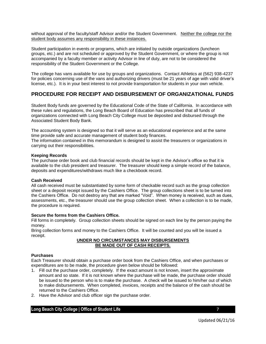without approval of the faculty/staff Advisor and/or the Student Government. Neither the college nor the student body assumes any responsibility in these instances.

Student participation in events or programs, which are initiated by outside organizations (luncheon groups, etc.) and are not scheduled or approved by the Student Government, or where the group is not accompanied by a faculty member or activity Advisor in line of duty, are not to be considered the responsibility of the Student Government or the College.

The college has vans available for use by groups and organizations. Contact Athletics at (562) 938-4237 for policies concerning use of the vans and authorizing drivers (must be 21 years of age with valid driver's license, etc.). It is in your best interest to not provide transportation for students in your own vehicle.

# **PROCEDURE FOR RECEIPT AND DISBURSEMENT OF ORGANIZATIONAL FUNDS**

Student Body funds are governed by the Educational Code of the State of California. In accordance with these rules and regulations, the Long Beach Board of Education has prescribed that all funds of organizations connected with Long Beach City College must be deposited and disbursed through the Associated Student Body Bank.

The accounting system is designed so that it will serve as an educational experience and at the same time provide safe and accurate management of student body finances.

The information contained in this memorandum is designed to assist the treasurers or organizations in carrying out their responsibilities.

#### **Keeping Records**

The purchase order book and club financial records should be kept in the Advisor's office so that it is available to the club president and treasurer. The treasurer should keep a simple record of the balance, deposits and expenditures/withdraws much like a checkbook record.

#### **Cash Received**

All cash received must be substantiated by some form of checkable record such as the group collection sheet or a deposit receipt issued by the Cashiers Office. The group collections sheet is to be turned into the Cashiers Office. Do not destroy any that are marked "Void". When money is received, such as dues, assessments, etc., the treasurer should use the group collection sheet. When a collection is to be made, the procedure is required.

#### **Secure the forms from the Cashiers Office.**

Fill forms in completely. Group collection sheets should be signed on each line by the person paying the money.

Bring collection forms and money to the Cashiers Office. It will be counted and you will be issued a receipt.

#### **UNDER NO CIRCUMSTANCES MAY DISBURSEMENTS BE MADE OUT OF CASH RECEIPTS.**

#### **Purchases**

Each Treasurer should obtain a purchase order book from the Cashiers Office, and when purchases or expenditures are to be made, the procedure given below should be followed:

- 1. Fill out the purchase order, completely. If the exact amount is not known, insert the approximate amount and so state. If it is not known where the purchase will be made, the purchase order should be issued to the person who is to make the purchase. A check will be issued to him/her out of which to make disbursements. When completed, invoices, receipts and the balance of the cash should be returned to the Cashiers Office.
- 2. Have the Advisor and club officer sign the purchase order.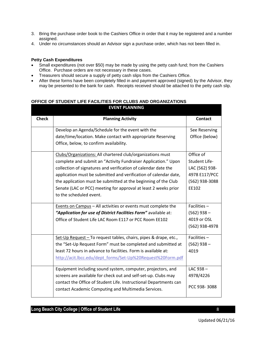- 3. Bring the purchase order book to the Cashiers Office in order that it may be registered and a number assigned.
- 4. Under no circumstances should an Advisor sign a purchase order, which has not been filled in.

## **Petty Cash Expenditures**

- Small expenditures (not over \$50) may be made by using the petty cash fund; from the Cashiers Office. Purchase orders are not necessary in these cases.
- Treasurers should secure a supply of petty cash slips from the Cashiers Office.
- After these forms have been completely filled in and payment approved (signed) by the Advisor, they may be presented to the bank for cash. Receipts received should be attached to the petty cash slip.

#### **OFFICE OF STUDENT LIFE FACILITIES FOR CLUBS AND ORGANIZATIONS EVENT PLANNING**

| <b>Check</b> | <b>Planning Activity</b>                                                                                                 | <b>Contact</b> |
|--------------|--------------------------------------------------------------------------------------------------------------------------|----------------|
|              | Develop an Agenda/Schedule for the event with the                                                                        | See Reserving  |
|              | date/time/location. Make contact with appropriate Reserving                                                              | Office (below) |
|              | Office, below, to confirm availability.                                                                                  |                |
|              | Clubs/Organizations: All chartered club/organizations must                                                               | Office of      |
|              | complete and submit an "Activity Fundraiser Application." Upon                                                           | Student Life-  |
|              | collection of signatures and verification of calendar date the                                                           | LAC (562) 938- |
|              | application must be submitted and verification of calendar date,                                                         | 4978 E117/PCC  |
|              | the application must be submitted at the beginning of the Club                                                           | (562) 938-3088 |
|              | Senate (LAC or PCC) meeting for approval at least 2 weeks prior                                                          | EE102          |
|              | to the scheduled event.                                                                                                  |                |
|              | Events on Campus - All activities or events must complete the                                                            | Facilities $-$ |
|              | "Application for use of District Facilities Form" available at:                                                          | $(562)$ 938 –  |
|              | Office of Student Life LAC Room E117 or PCC Room EE102                                                                   | 4019 or OSL    |
|              |                                                                                                                          | (562) 938-4978 |
|              | Set-Up Request - To request tables, chairs, pipes & drape, etc.,                                                         | Facilities $-$ |
|              | the "Set-Up Request Form" must be completed and submitted at                                                             | $(562)$ 938 –  |
|              | least 72 hours in advance to facilities. Form is available at:                                                           | 4019           |
|              | http://acit.lbcc.edu/dept_forms/Set-Up%20Request%20Form.pdf                                                              |                |
|              | Equipment including sound system, computer, projectors, and                                                              | LAC $938 -$    |
|              | screens are available for check out and self-set-up. Clubs may                                                           | 4978/4226      |
|              | contact the Office of Student Life. Instructional Departments can<br>contact Academic Computing and Multimedia Services. | PCC 938-3088   |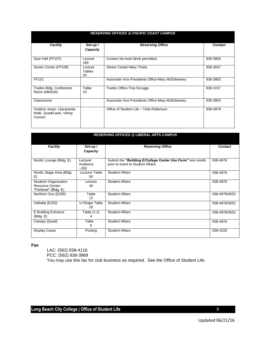| <b>RESERVING OFFICES @ PACIFIC COAST CAMPUS</b>                |                         |                                                  |                |  |  |  |  |
|----------------------------------------------------------------|-------------------------|--------------------------------------------------|----------------|--|--|--|--|
| <b>Facility</b>                                                | Set-up /<br>Capacity    | <b>Reserving Office</b>                          | <b>Contact</b> |  |  |  |  |
| Dyer Hall (FF107)                                              | Lecture<br>166          | Contact No food /drink permitted.                | 938-3904       |  |  |  |  |
| Senior Center (FF108)                                          | Lecture<br>Tables<br>50 | Senior Center-Mary Thoits                        | 938-3047       |  |  |  |  |
| FF101                                                          |                         | Associate Vice Presidents Office-Mary McEldowney | 938-3903       |  |  |  |  |
| Trades Bldg. Conference<br>Room (MM100)                        | Table<br>10             | Trades Office-Tina Scruggs                       | 938-3157       |  |  |  |  |
| Classrooms                                                     |                         | Associate Vice Presidents Office-Mary McEldowney | 938-3903       |  |  |  |  |
| Outdoor areas (Jacaranda<br>Walk, Quad/Lawn, Viking<br>Corner) |                         | Office of Student Life - Teila Robertson         | 938-4978       |  |  |  |  |

| <b>RESERVING OFFICES @ LIBERAL ARTS CAMPUS</b>                           |                                |                                                                                                 |                |  |  |  |  |
|--------------------------------------------------------------------------|--------------------------------|-------------------------------------------------------------------------------------------------|----------------|--|--|--|--|
| <b>Facility</b>                                                          | Set-up /<br>Capacity           | <b>Reserving Office</b>                                                                         | <b>Contact</b> |  |  |  |  |
| Nordic Lounge (Bldg. E)                                                  | Lecture/<br>Audience<br>$-200$ | Submit the "Building E/College Center Use Form" one month<br>prior to event to Student Affairs. | 938-4978       |  |  |  |  |
| Nordic Stage Area (Bldg.<br>E)                                           | Lecture/Table<br>50            | <b>Student Affairs</b>                                                                          | 938-4978       |  |  |  |  |
| Student/ Organization<br><b>Resource Center-</b><br>"Fishbowl" (Bldg. E) | Lecture<br>40                  | <b>Student Affairs</b>                                                                          | 938-4978       |  |  |  |  |
| Northern Sun (E209)                                                      | Table<br>12                    | <b>Student Affairs</b>                                                                          | 938-4978/4552  |  |  |  |  |
| Valhalla (E202)                                                          | U-Shape Table<br>20            | <b>Student Affairs</b>                                                                          | 938-4978/4552  |  |  |  |  |
| <b>E Building Entrance</b><br>(BIdg. E)                                  | Table (1-2)<br>4               | <b>Student Affairs</b>                                                                          | 938-4978/4552  |  |  |  |  |
| Canopy (Quad)                                                            | Table<br>6                     | <b>Student Affairs</b>                                                                          | 938-4978       |  |  |  |  |
| <b>Display Cases</b>                                                     | Posting                        | <b>Student Affairs</b>                                                                          | 938-4226       |  |  |  |  |

**Fax**

LAC: (562) 938-4116 PCC: (562) 938-3969 You may use this fax for club business as required. See the Office of Student Life.